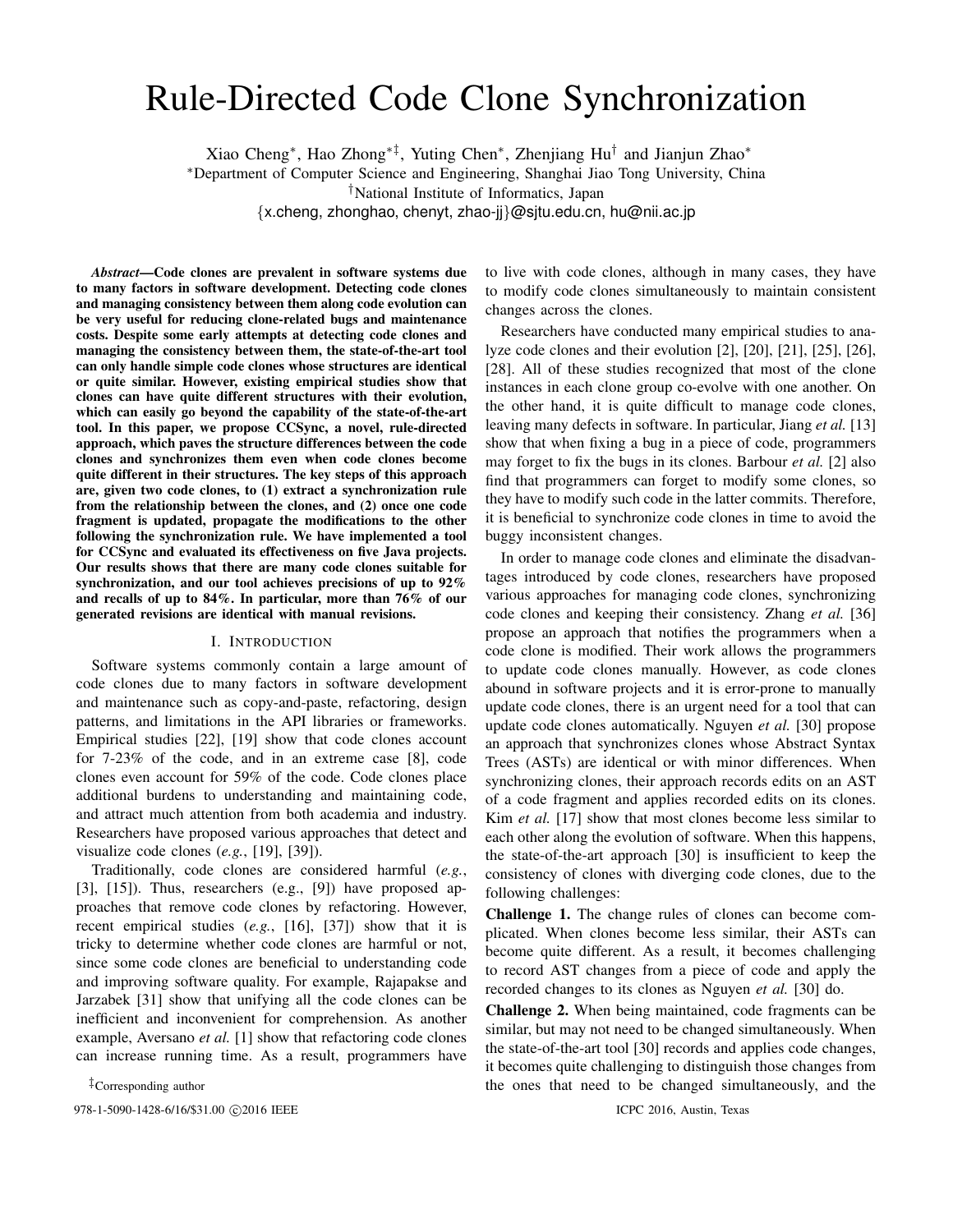# Rule-Directed Code Clone Synchronization

Xiao Cheng*∗* , Hao Zhong*∗‡*, Yuting Chen*∗* , Zhenjiang Hu*†* and Jianjun Zhao*∗*

*∗*Department of Computer Science and Engineering, Shanghai Jiao Tong University, China

*†*National Institute of Informatics, Japan

*{*x.cheng, zhonghao, chenyt, zhao-jj*}*@sjtu.edu.cn, hu@nii.ac.jp

*Abstract*—Code clones are prevalent in software systems due to many factors in software development. Detecting code clones and managing consistency between them along code evolution can be very useful for reducing clone-related bugs and maintenance costs. Despite some early attempts at detecting code clones and managing the consistency between them, the state-of-the-art tool can only handle simple code clones whose structures are identical or quite similar. However, existing empirical studies show that clones can have quite different structures with their evolution, which can easily go beyond the capability of the state-of-the-art tool. In this paper, we propose CCSync, a novel, rule-directed approach, which paves the structure differences between the code clones and synchronizes them even when code clones become quite different in their structures. The key steps of this approach are, given two code clones, to (1) extract a synchronization rule from the relationship between the clones, and (2) once one code fragment is updated, propagate the modifications to the other following the synchronization rule. We have implemented a tool for CCSync and evaluated its effectiveness on five Java projects. Our results shows that there are many code clones suitable for synchronization, and our tool achieves precisions of up to 92% and recalls of up to 84%. In particular, more than 76% of our generated revisions are identical with manual revisions.

#### I. INTRODUCTION

Software systems commonly contain a large amount of code clones due to many factors in software development and maintenance such as copy-and-paste, refactoring, design patterns, and limitations in the API libraries or frameworks. Empirical studies [22], [19] show that code clones account for 7-23% of the code, and in an extreme case [8], code clones even account for 59% of the code. Code clones place additional burdens to understanding and maintaining code, and attract much attention from both academia and industry. Researchers have proposed various approaches that detect and visualize code clones (*e.g.*, [19], [39]).

Traditionally, code clones are considered harmful (*e.g.*, [3], [15]). Thus, researchers (e.g., [9]) have proposed approaches that remove code clones by refactoring. However, recent empirical studies (*e.g.*, [16], [37]) show that it is tricky to determine whether code clones are harmful or not, since some code clones are beneficial to understanding code and improving software quality. For example, Rajapakse and Jarzabek [31] show that unifying all the code clones can be inefficient and inconvenient for comprehension. As another example, Aversano *et al.* [1] show that refactoring code clones can increase running time. As a result, programmers have

*‡*Corresponding author

978-1-5090-1428-6/16/\$31.00 *C* 2016 IEEE **ICPC** 2016, Austin, Texas

to live with code clones, although in many cases, they have to modify code clones simultaneously to maintain consistent changes across the clones.

Researchers have conducted many empirical studies to analyze code clones and their evolution [2], [20], [21], [25], [26], [28]. All of these studies recognized that most of the clone instances in each clone group co-evolve with one another. On the other hand, it is quite difficult to manage code clones, leaving many defects in software. In particular, Jiang *et al.* [13] show that when fixing a bug in a piece of code, programmers may forget to fix the bugs in its clones. Barbour *et al.* [2] also find that programmers can forget to modify some clones, so they have to modify such code in the latter commits. Therefore, it is beneficial to synchronize code clones in time to avoid the buggy inconsistent changes.

In order to manage code clones and eliminate the disadvantages introduced by code clones, researchers have proposed various approaches for managing code clones, synchronizing code clones and keeping their consistency. Zhang *et al.* [36] propose an approach that notifies the programmers when a code clone is modified. Their work allows the programmers to update code clones manually. However, as code clones abound in software projects and it is error-prone to manually update code clones, there is an urgent need for a tool that can update code clones automatically. Nguyen *et al.* [30] propose an approach that synchronizes clones whose Abstract Syntax Trees (ASTs) are identical or with minor differences. When synchronizing clones, their approach records edits on an AST of a code fragment and applies recorded edits on its clones. Kim *et al.* [17] show that most clones become less similar to each other along the evolution of software. When this happens, the state-of-the-art approach [30] is insufficient to keep the consistency of clones with diverging code clones, due to the following challenges:

Challenge 1. The change rules of clones can become complicated. When clones become less similar, their ASTs can become quite different. As a result, it becomes challenging to record AST changes from a piece of code and apply the recorded changes to its clones as Nguyen *et al.* [30] do.

Challenge 2. When being maintained, code fragments can be similar, but may not need to be changed simultaneously. When the state-of-the-art tool [30] records and applies code changes, it becomes quite challenging to distinguish those changes from the ones that need to be changed simultaneously, and the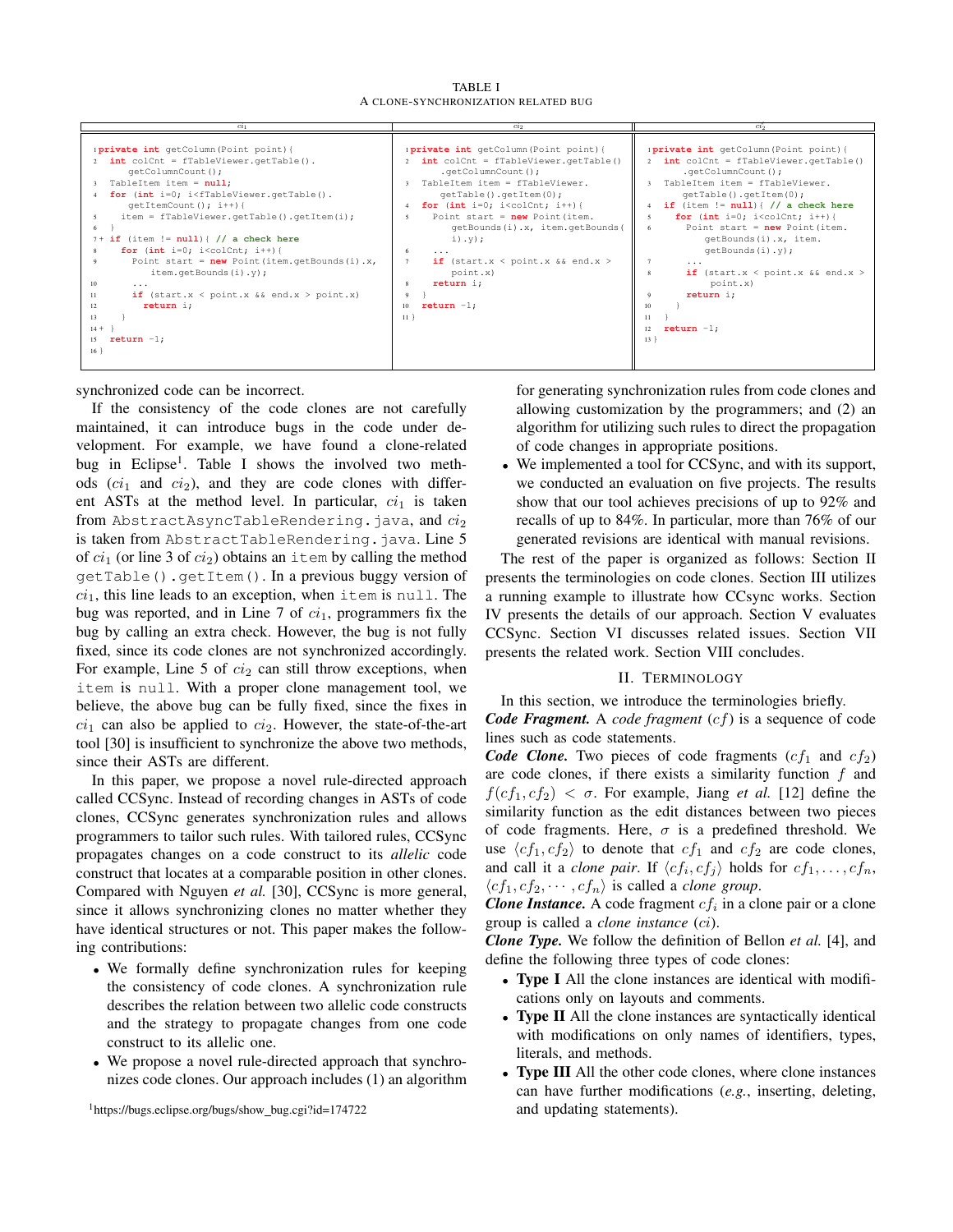TABLE I A CLONE-SYNCHRONIZATION RELATED BUG



synchronized code can be incorrect.

If the consistency of the code clones are not carefully maintained, it can introduce bugs in the code under development. For example, we have found a clone-related bug in Eclipse<sup>1</sup>. Table I shows the involved two methods  $(c_i)$  and  $ci_2$ ), and they are code clones with different ASTs at the method level. In particular,  $ci_1$  is taken from AbstractAsyncTableRendering.java, and *ci*<sup>2</sup> is taken from AbstractTableRendering.java. Line 5 of *ci*<sup>1</sup> (or line 3 of *ci*2) obtains an item by calling the method getTable().getItem(). In a previous buggy version of  $ci<sub>1</sub>$ , this line leads to an exception, when item is null. The bug was reported, and in Line  $7$  of  $ci_1$ , programmers fix the bug by calling an extra check. However, the bug is not fully fixed, since its code clones are not synchronized accordingly. For example, Line  $5$  of  $ci_2$  can still throw exceptions, when item is null. With a proper clone management tool, we believe, the above bug can be fully fixed, since the fixes in  $ci<sub>1</sub>$  can also be applied to  $ci<sub>2</sub>$ . However, the state-of-the-art tool [30] is insufficient to synchronize the above two methods, since their ASTs are different.

In this paper, we propose a novel rule-directed approach called CCSync. Instead of recording changes in ASTs of code clones, CCSync generates synchronization rules and allows programmers to tailor such rules. With tailored rules, CCSync propagates changes on a code construct to its *allelic* code construct that locates at a comparable position in other clones. Compared with Nguyen *et al.* [30], CCSync is more general, since it allows synchronizing clones no matter whether they have identical structures or not. This paper makes the following contributions:

- *•* We formally define synchronization rules for keeping the consistency of code clones. A synchronization rule describes the relation between two allelic code constructs and the strategy to propagate changes from one code construct to its allelic one.
- *•* We propose a novel rule-directed approach that synchronizes code clones. Our approach includes (1) an algorithm

<sup>1</sup>https://bugs.eclipse.org/bugs/show\_bug.cgi?id=174722

for generating synchronization rules from code clones and allowing customization by the programmers; and (2) an algorithm for utilizing such rules to direct the propagation of code changes in appropriate positions.

*•* We implemented a tool for CCSync, and with its support, we conducted an evaluation on five projects. The results show that our tool achieves precisions of up to 92% and recalls of up to 84%. In particular, more than 76% of our generated revisions are identical with manual revisions.

The rest of the paper is organized as follows: Section II presents the terminologies on code clones. Section III utilizes a running example to illustrate how CCsync works. Section IV presents the details of our approach. Section V evaluates CCSync. Section VI discusses related issues. Section VII presents the related work. Section VIII concludes.

## II. TERMINOLOGY

In this section, we introduce the terminologies briefly. *Code Fragment.* A *code fragment* (*cf*) is a sequence of code lines such as code statements.

*Code Clone.* Two pieces of code fragments  $(cf_1$  and  $cf_2$ ) are code clones, if there exists a similarity function *f* and  $f(cf_1, cf_2) < \sigma$ . For example, Jiang *et al.* [12] define the similarity function as the edit distances between two pieces of code fragments. Here,  $\sigma$  is a predefined threshold. We use  $\langle cf_1, cf_2 \rangle$  to denote that  $cf_1$  and  $cf_2$  are code clones, and call it a *clone pair*. If  $\langle cf_i, cf_j \rangle$  holds for  $cf_1, \ldots, cf_n$ ,  $\langle cf_1, cf_2, \cdots, cf_n \rangle$  is called a *clone group*.

*Clone Instance.* A code fragment  $cf_i$  in a clone pair or a clone group is called a *clone instance* (*ci*).

*Clone Type.* We follow the definition of Bellon *et al.* [4], and define the following three types of code clones:

- **Type I** All the clone instances are identical with modifications only on layouts and comments.
- *•* Type II All the clone instances are syntactically identical with modifications on only names of identifiers, types, literals, and methods.
- **Type III** All the other code clones, where clone instances can have further modifications (*e.g.*, inserting, deleting, and updating statements).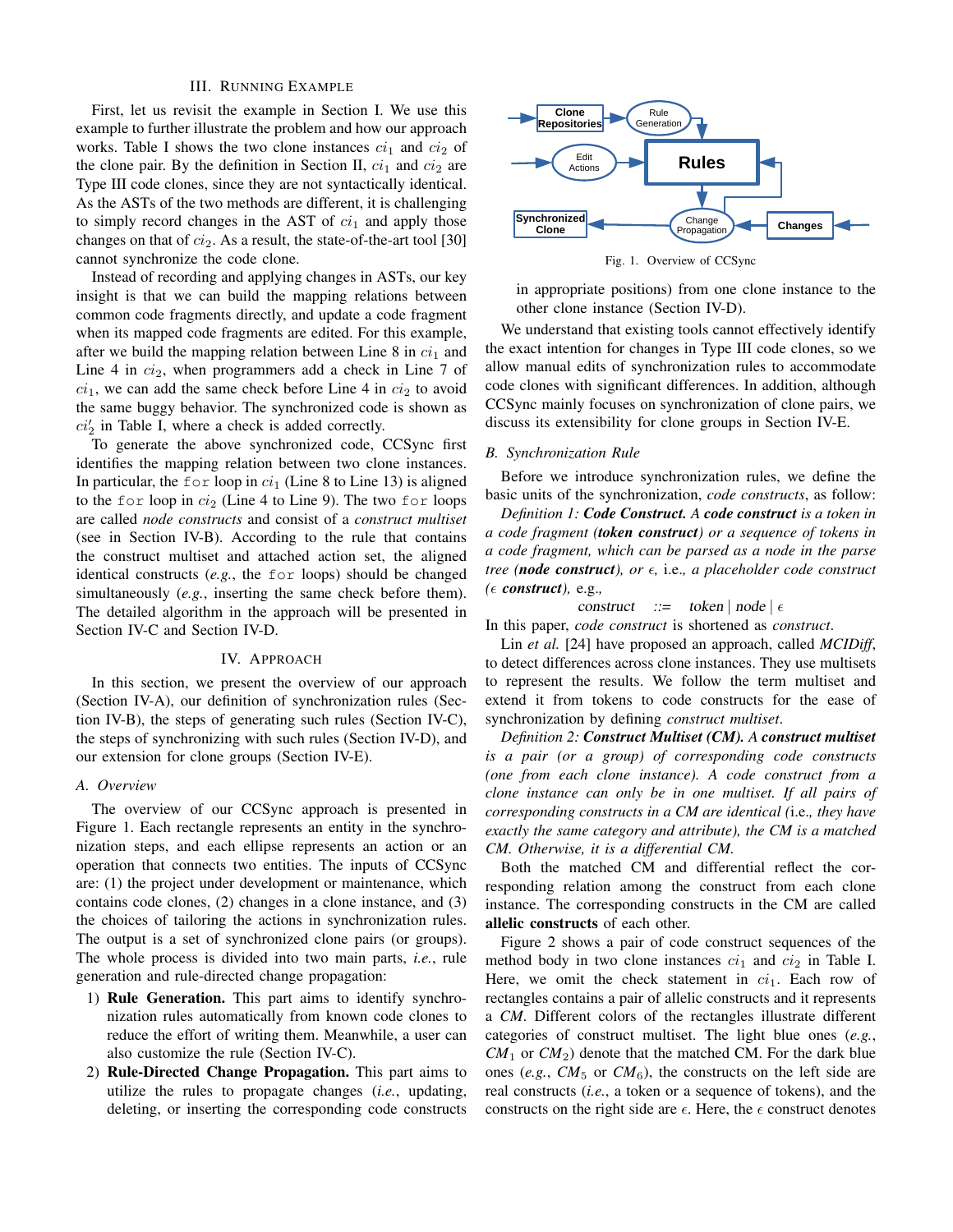## III. RUNNING EXAMPLE

First, let us revisit the example in Section I. We use this example to further illustrate the problem and how our approach works. Table I shows the two clone instances  $ci_1$  and  $ci_2$  of the clone pair. By the definition in Section II,  $ci_1$  and  $ci_2$  are Type III code clones, since they are not syntactically identical. As the ASTs of the two methods are different, it is challenging to simply record changes in the AST of  $ci_1$  and apply those changes on that of *ci*2. As a result, the state-of-the-art tool [30] cannot synchronize the code clone.

Instead of recording and applying changes in ASTs, our key insight is that we can build the mapping relations between common code fragments directly, and update a code fragment when its mapped code fragments are edited. For this example, after we build the mapping relation between Line  $8$  in  $ci<sub>1</sub>$  and Line 4 in *ci*2, when programmers add a check in Line 7 of  $ci_1$ , we can add the same check before Line 4 in  $ci_2$  to avoid the same buggy behavior. The synchronized code is shown as  $ci'_2$  in Table I, where a check is added correctly.

To generate the above synchronized code, CCSync first identifies the mapping relation between two clone instances. In particular, the for loop in  $ci_1$  (Line 8 to Line 13) is aligned to the for loop in  $ci_2$  (Line 4 to Line 9). The two for loops are called *node constructs* and consist of a *construct multiset* (see in Section IV-B). According to the rule that contains the construct multiset and attached action set, the aligned identical constructs (*e.g.*, the for loops) should be changed simultaneously (*e.g.*, inserting the same check before them). The detailed algorithm in the approach will be presented in Section IV-C and Section IV-D.

#### IV. APPROACH

In this section, we present the overview of our approach (Section IV-A), our definition of synchronization rules (Section IV-B), the steps of generating such rules (Section IV-C), the steps of synchronizing with such rules (Section IV-D), and our extension for clone groups (Section IV-E).

#### *A. Overview*

The overview of our CCSync approach is presented in Figure 1. Each rectangle represents an entity in the synchronization steps, and each ellipse represents an action or an operation that connects two entities. The inputs of CCSync are: (1) the project under development or maintenance, which contains code clones, (2) changes in a clone instance, and (3) the choices of tailoring the actions in synchronization rules. The output is a set of synchronized clone pairs (or groups). The whole process is divided into two main parts, *i.e.*, rule generation and rule-directed change propagation:

- 1) Rule Generation. This part aims to identify synchronization rules automatically from known code clones to reduce the effort of writing them. Meanwhile, a user can also customize the rule (Section IV-C).
- 2) Rule-Directed Change Propagation. This part aims to utilize the rules to propagate changes (*i.e.*, updating, deleting, or inserting the corresponding code constructs



Fig. 1. Overview of CCSync

in appropriate positions) from one clone instance to the other clone instance (Section IV-D).

We understand that existing tools cannot effectively identify the exact intention for changes in Type III code clones, so we allow manual edits of synchronization rules to accommodate code clones with significant differences. In addition, although CCSync mainly focuses on synchronization of clone pairs, we discuss its extensibility for clone groups in Section IV-E.

#### *B. Synchronization Rule*

Before we introduce synchronization rules, we define the basic units of the synchronization, *code constructs*, as follow:

*Definition 1: Code Construct. A code construct is a token in a code fragment (token construct) or a sequence of tokens in a code fragment, which can be parsed as a node in the parse tree (node construct), or ϵ,* i.e.*, a placeholder code construct*  $( \epsilon \text{ construct} ), e.g.,$ 

construct ::= token | node | 
$$
\epsilon
$$

In this paper, *code construct* is shortened as *construct*.

Lin *et al.* [24] have proposed an approach, called *MCIDiff*, to detect differences across clone instances. They use multisets to represent the results. We follow the term multiset and extend it from tokens to code constructs for the ease of synchronization by defining *construct multiset*.

*Definition 2: Construct Multiset (CM). A construct multiset is a pair (or a group) of corresponding code constructs (one from each clone instance). A code construct from a clone instance can only be in one multiset. If all pairs of corresponding constructs in a CM are identical (*i.e.*, they have exactly the same category and attribute), the CM is a matched CM. Otherwise, it is a differential CM.*

Both the matched CM and differential reflect the corresponding relation among the construct from each clone instance. The corresponding constructs in the CM are called allelic constructs of each other.

Figure 2 shows a pair of code construct sequences of the method body in two clone instances  $ci_1$  and  $ci_2$  in Table I. Here, we omit the check statement in  $ci_1$ . Each row of rectangles contains a pair of allelic constructs and it represents a *CM*. Different colors of the rectangles illustrate different categories of construct multiset. The light blue ones (*e.g.*,  $CM_1$  or  $CM_2$ ) denote that the matched CM. For the dark blue ones (*e.g.*,  $CM_5$  or  $CM_6$ ), the constructs on the left side are real constructs (*i.e.*, a token or a sequence of tokens), and the constructs on the right side are  $\epsilon$ . Here, the  $\epsilon$  construct denotes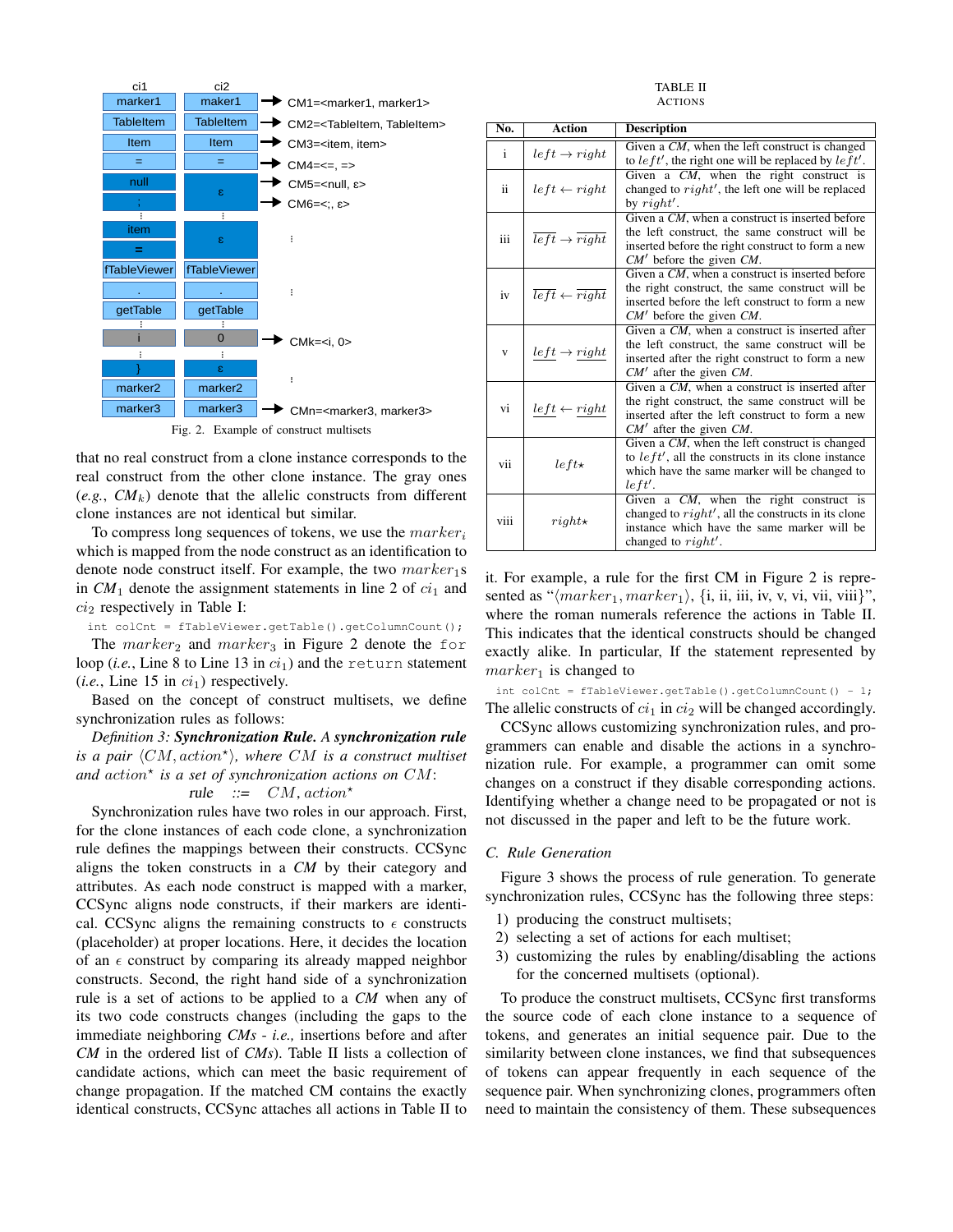

that no real construct from a clone instance corresponds to the real construct from the other clone instance. The gray ones  $(e.g., CM<sub>k</sub>)$  denote that the allelic constructs from different clone instances are not identical but similar.

To compress long sequences of tokens, we use the *marker<sup>i</sup>* which is mapped from the node construct as an identification to denote node construct itself. For example, the two  $marker_1s$ in  $CM_1$  denote the assignment statements in line 2 of  $ci_1$  and *ci*<sup>2</sup> respectively in Table I:

int colCnt = fTableViewer.getTable().getColumnCount();

The  $marker_2$  and  $marker_3$  in Figure 2 denote the for loop (*i.e.*, Line 8 to Line 13 in *ci*1) and the return statement  $(i.e., Line 15 in  $ci<sub>1</sub>$ ) respectively.$ 

Based on the concept of construct multisets, we define synchronization rules as follows:

*Definition 3: Synchronization Rule. A synchronization rule is a pair ⟨CM, action<sup>⋆</sup> ⟩, where CM is a construct multiset and action<sup>⋆</sup> is a set of synchronization actions on CM*:

## rule  $::= CM, action^*$

Synchronization rules have two roles in our approach. First, for the clone instances of each code clone, a synchronization rule defines the mappings between their constructs. CCSync aligns the token constructs in a *CM* by their category and attributes. As each node construct is mapped with a marker, CCSync aligns node constructs, if their markers are identical. CCSync aligns the remaining constructs to  $\epsilon$  constructs (placeholder) at proper locations. Here, it decides the location of an  $\epsilon$  construct by comparing its already mapped neighbor constructs. Second, the right hand side of a synchronization rule is a set of actions to be applied to a *CM* when any of its two code constructs changes (including the gaps to the immediate neighboring *CMs* - *i.e.,* insertions before and after *CM* in the ordered list of *CMs*). Table II lists a collection of candidate actions, which can meet the basic requirement of change propagation. If the matched CM contains the exactly identical constructs, CCSync attaches all actions in Table II to

TABLE II ACTIONS

| No.  | <b>Action</b>                                  | <b>Description</b>                                                                                                                                                                      |
|------|------------------------------------------------|-----------------------------------------------------------------------------------------------------------------------------------------------------------------------------------------|
| i    | $left \rightarrow right$                       | Given a CM, when the left construct is changed<br>to $left'$ , the right one will be replaced by $left'$ .                                                                              |
| ii.  | $left \leftarrow right$                        | Given a CM, when the right construct is<br>changed to $right'$ , the left one will be replaced<br>by $right'.$                                                                          |
| iii  | $\overline{left} \rightarrow \overline{right}$ | Given a CM, when a construct is inserted before<br>the left construct, the same construct will be<br>inserted before the right construct to form a new<br>$CM'$ before the given $CM$ . |
| iv   | $\overline{left} \leftarrow \overline{right}$  | Given a CM, when a construct is inserted before<br>the right construct, the same construct will be<br>inserted before the left construct to form a new<br>$CM'$ before the given $CM$ . |
| V    | $left \rightarrow right$                       | Given a CM, when a construct is inserted after<br>the left construct, the same construct will be<br>inserted after the right construct to form a new<br>$CM'$ after the given $CM$ .    |
| vi   | $left \gets right$                             | Given a CM, when a construct is inserted after<br>the right construct, the same construct will be<br>inserted after the left construct to form a new<br>$CM'$ after the given $CM$ .    |
| vii  | $left<\star$                                   | Given a CM, when the left construct is changed<br>to $left'$ , all the constructs in its clone instance<br>which have the same marker will be changed to<br>left'.                      |
| viii | $right\star$                                   | Given a CM, when the right construct is<br>changed to $right'$ , all the constructs in its clone<br>instance which have the same marker will be<br>changed to $right'.$                 |

it. For example, a rule for the first CM in Figure 2 is represented as " $\langle marker_1, marker_2 \rangle$ , {i, ii, iii, iv, v, vi, vii, viii}", where the roman numerals reference the actions in Table II. This indicates that the identical constructs should be changed exactly alike. In particular, If the statement represented by  $marker_1$  is changed to

int colCnt = fTableViewer.getTable().getColumnCount() - 1; The allelic constructs of  $ci_1$  in  $ci_2$  will be changed accordingly.

CCSync allows customizing synchronization rules, and programmers can enable and disable the actions in a synchronization rule. For example, a programmer can omit some changes on a construct if they disable corresponding actions. Identifying whether a change need to be propagated or not is not discussed in the paper and left to be the future work.

#### *C. Rule Generation*

Figure 3 shows the process of rule generation. To generate synchronization rules, CCSync has the following three steps:

- 1) producing the construct multisets;
- 2) selecting a set of actions for each multiset;
- 3) customizing the rules by enabling/disabling the actions for the concerned multisets (optional).

To produce the construct multisets, CCSync first transforms the source code of each clone instance to a sequence of tokens, and generates an initial sequence pair. Due to the similarity between clone instances, we find that subsequences of tokens can appear frequently in each sequence of the sequence pair. When synchronizing clones, programmers often need to maintain the consistency of them. These subsequences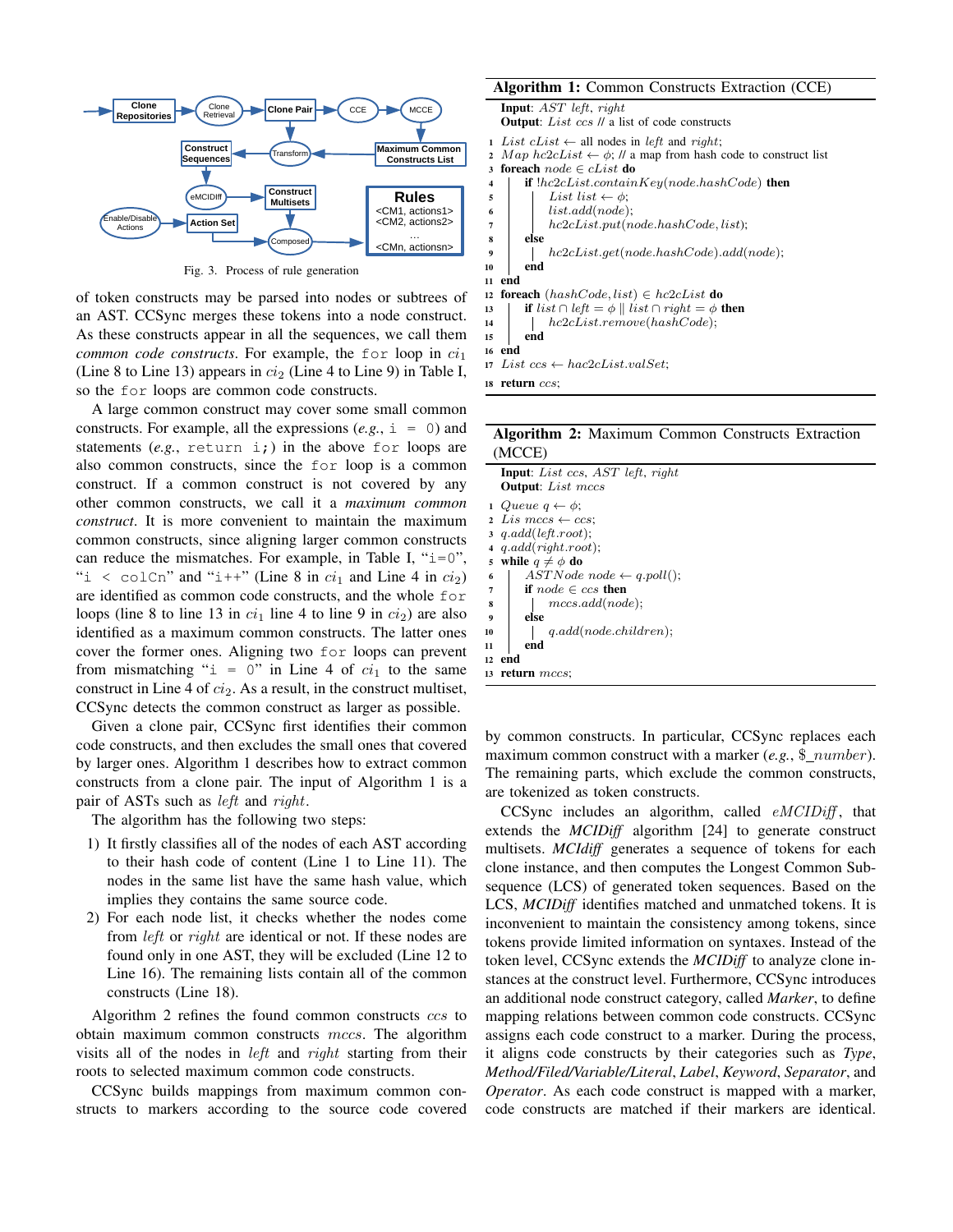

Fig. 3. Process of rule generation

of token constructs may be parsed into nodes or subtrees of an AST. CCSync merges these tokens into a node construct. As these constructs appear in all the sequences, we call them *common code constructs*. For example, the for loop in  $ci_1$ (Line 8 to Line 13) appears in  $ci_2$  (Line 4 to Line 9) in Table I, so the for loops are common code constructs.

A large common construct may cover some small common constructs. For example, all the expressions  $(e.g., i = 0)$  and statements (*e.g.*, return i;) in the above for loops are also common constructs, since the for loop is a common construct. If a common construct is not covered by any other common constructs, we call it a *maximum common construct*. It is more convenient to maintain the maximum common constructs, since aligning larger common constructs can reduce the mismatches. For example, in Table I, " $i=0$ ", "i < colCn" and "i++" (Line 8 in  $ci_1$  and Line 4 in  $ci_2$ ) are identified as common code constructs, and the whole for loops (line 8 to line 13 in  $ci_1$  line 4 to line 9 in  $ci_2$ ) are also identified as a maximum common constructs. The latter ones cover the former ones. Aligning two for loops can prevent from mismatching " $i = 0$ " in Line 4 of  $ci_1$  to the same construct in Line 4 of *ci*<sub>2</sub>. As a result, in the construct multiset, CCSync detects the common construct as larger as possible.

Given a clone pair, CCSync first identifies their common code constructs, and then excludes the small ones that covered by larger ones. Algorithm 1 describes how to extract common constructs from a clone pair. The input of Algorithm 1 is a pair of ASTs such as *left* and *right*.

The algorithm has the following two steps:

- 1) It firstly classifies all of the nodes of each AST according to their hash code of content (Line 1 to Line 11). The nodes in the same list have the same hash value, which implies they contains the same source code.
- 2) For each node list, it checks whether the nodes come from *left* or *right* are identical or not. If these nodes are found only in one AST, they will be excluded (Line 12 to Line 16). The remaining lists contain all of the common constructs (Line 18).

Algorithm 2 refines the found common constructs *ccs* to obtain maximum common constructs *mccs*. The algorithm visits all of the nodes in *left* and *right* starting from their roots to selected maximum common code constructs.

CCSync builds mappings from maximum common constructs to markers according to the source code covered

## Algorithm 1: Common Constructs Extraction (CCE)

|                         | <b>Input:</b> $AST$ <i>left, right</i>                                        |
|-------------------------|-------------------------------------------------------------------------------|
|                         | <b>Output:</b> List ccs // a list of code constructs                          |
|                         | 1 List $clist \leftarrow$ all nodes in left and right;                        |
| $\mathbf{2}$            | Map $hc2cList \leftarrow \phi$ ; // a map from hash code to construct list    |
| $\mathbf{3}$            | <b>foreach</b> $node \in cList$ do                                            |
| $\overline{\mathbf{4}}$ | if $!hc2cList.contribKey(node.hashCode)$ then                                 |
| 5                       | List list $\leftarrow \phi$ ;                                                 |
| 6                       | list.add(node);                                                               |
| 7                       | hc2cList.put(node.hashCode, list);                                            |
| 8                       | else                                                                          |
| $\boldsymbol{9}$        | $hc2cList.get(node.hashCode).add(node);$                                      |
| 10                      | end                                                                           |
| 11                      | end                                                                           |
|                         | 12 foreach $(hashCode, list) \in hc2cList$ do                                 |
| 13                      | <b>if</b> list $\cap$ left $= \phi \parallel$ list $\cap$ right $= \phi$ then |
| 14                      | hc2cList.remove(hashCode);                                                    |
| 15                      | end                                                                           |
| 16                      | end                                                                           |
|                         | $17 \text{ List } ccs \leftarrow \text{hac2cList.valSet};$                    |
|                         |                                                                               |

<sup>18</sup> return *ccs*;

## Algorithm 2: Maximum Common Constructs Extraction (MCCE)

| <b>Input</b> : List ccs, AST left, right |
|------------------------------------------|
| <b>Output:</b> List mccs                 |
| 1 Queue $q \leftarrow \phi$ ;            |
| 2 Lis mccs $\leftarrow$ ccs:             |
| $3$ q.add(left.root);                    |
| $4$ q.add(right.root);                   |
| while $q \neq \phi$ do<br>5              |
| $ASTNode node \leftarrow q.poll();$<br>6 |
| if $node \in ccs$ then<br>7              |
| mccs.add(node);<br>8                     |
| else<br>9                                |
| q.add(node.children);<br>10              |
| end<br>11                                |
| end<br>12                                |
| return <i>mccs</i> :<br>13               |
|                                          |

by common constructs. In particular, CCSync replaces each maximum common construct with a marker (*e.g.*, \$ *number*). The remaining parts, which exclude the common constructs, are tokenized as token constructs.

CCSync includes an algorithm, called *eMCIDiff* , that extends the *MCIDiff* algorithm [24] to generate construct multisets. *MCIdiff* generates a sequence of tokens for each clone instance, and then computes the Longest Common Subsequence (LCS) of generated token sequences. Based on the LCS, *MCIDiff* identifies matched and unmatched tokens. It is inconvenient to maintain the consistency among tokens, since tokens provide limited information on syntaxes. Instead of the token level, CCSync extends the *MCIDiff* to analyze clone instances at the construct level. Furthermore, CCSync introduces an additional node construct category, called *Marker*, to define mapping relations between common code constructs. CCSync assigns each code construct to a marker. During the process, it aligns code constructs by their categories such as *Type*, *Method/Filed/Variable/Literal*, *Label*, *Keyword*, *Separator*, and *Operator*. As each code construct is mapped with a marker, code constructs are matched if their markers are identical.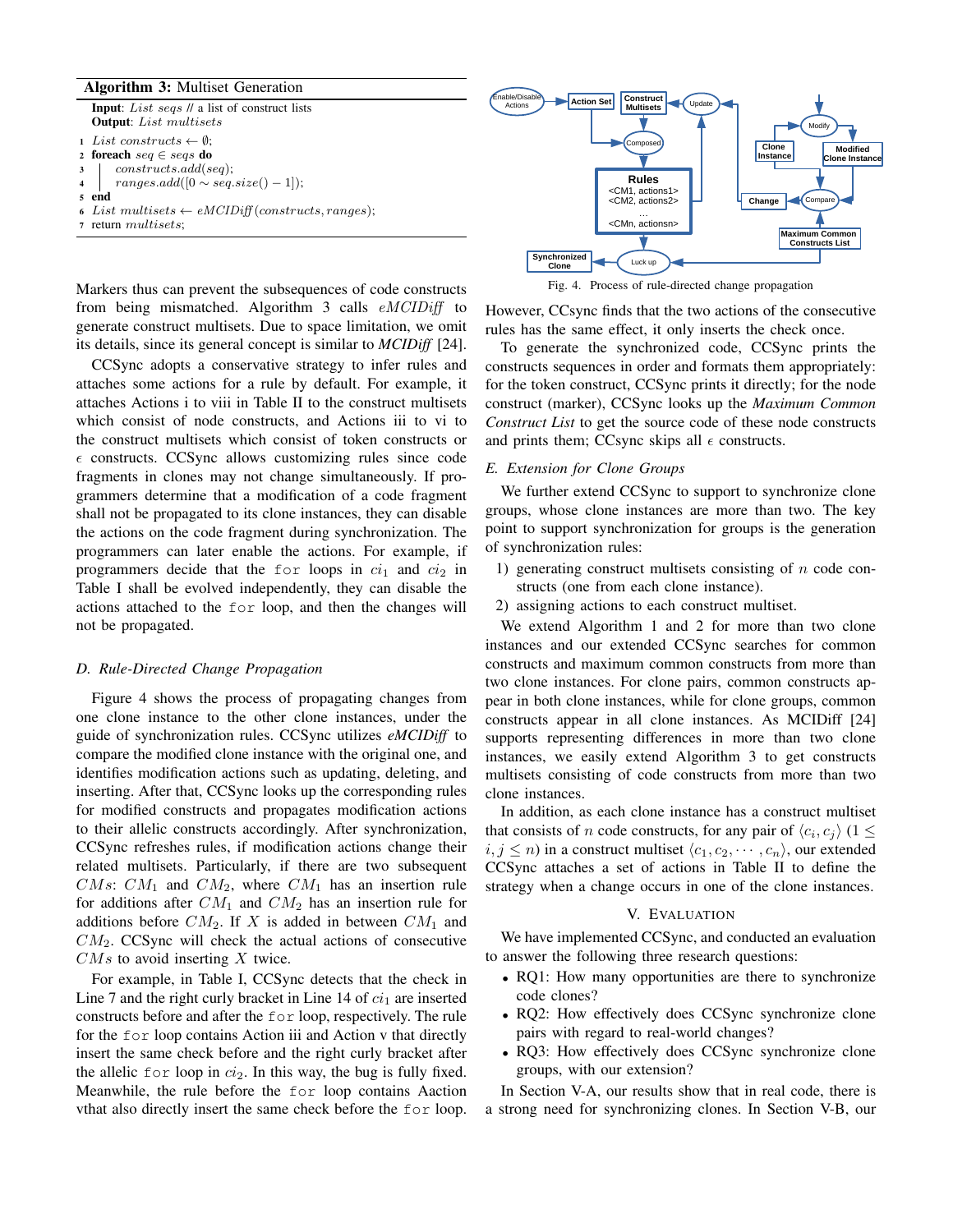## Algorithm 3: Multiset Generation

Input: *List seqs* // a list of construct lists Output: *List multisets*

<sup>1</sup> *List constructs ← ∅*;

- 2 **foreach**  $seq \in seg$  **do**<br>3 **constructs** add(s)
- <sup>3</sup> *constructs.add*(*seq*); <sup>4</sup> *ranges.add*([0 *∼ seq.size*() *−* 1]);
- <sup>5</sup> end
- 
- 6 *List multisets*  $\leftarrow eMCIDiff(constructs, ranges);$ <br>7 return multisets;
- <sup>7</sup> return *multisets*;

Markers thus can prevent the subsequences of code constructs from being mismatched. Algorithm 3 calls *eMCIDiff* to generate construct multisets. Due to space limitation, we omit its details, since its general concept is similar to *MCIDiff* [24].

CCSync adopts a conservative strategy to infer rules and attaches some actions for a rule by default. For example, it attaches Actions i to viii in Table II to the construct multisets which consist of node constructs, and Actions iii to vi to the construct multisets which consist of token constructs or  $\epsilon$  constructs. CCSync allows customizing rules since code fragments in clones may not change simultaneously. If programmers determine that a modification of a code fragment shall not be propagated to its clone instances, they can disable the actions on the code fragment during synchronization. The programmers can later enable the actions. For example, if programmers decide that the for loops in  $ci_1$  and  $ci_2$  in Table I shall be evolved independently, they can disable the actions attached to the for loop, and then the changes will not be propagated.

## *D. Rule-Directed Change Propagation*

Figure 4 shows the process of propagating changes from one clone instance to the other clone instances, under the guide of synchronization rules. CCSync utilizes *eMCIDiff* to compare the modified clone instance with the original one, and identifies modification actions such as updating, deleting, and inserting. After that, CCSync looks up the corresponding rules for modified constructs and propagates modification actions to their allelic constructs accordingly. After synchronization, CCSync refreshes rules, if modification actions change their related multisets. Particularly, if there are two subsequent *CMs*:  $CM_1$  and  $CM_2$ , where  $CM_1$  has an insertion rule for additions after *CM*<sup>1</sup> and *CM*<sup>2</sup> has an insertion rule for additions before  $CM_2$ . If  $X$  is added in between  $CM_1$  and *CM*2. CCSync will check the actual actions of consecutive *CMs* to avoid inserting *X* twice.

For example, in Table I, CCSync detects that the check in Line 7 and the right curly bracket in Line 14 of  $ci<sub>1</sub>$  are inserted constructs before and after the for loop, respectively. The rule for the for loop contains Action iii and Action v that directly insert the same check before and the right curly bracket after the allelic  $for loop$  in  $ci_2$ . In this way, the bug is fully fixed. Meanwhile, the rule before the for loop contains Aaction vthat also directly insert the same check before the for loop.



Fig. 4. Process of rule-directed change propagation

However, CCsync finds that the two actions of the consecutive rules has the same effect, it only inserts the check once.

To generate the synchronized code, CCSync prints the constructs sequences in order and formats them appropriately: for the token construct, CCSync prints it directly; for the node construct (marker), CCSync looks up the *Maximum Common Construct List* to get the source code of these node constructs and prints them; CCsync skips all  $\epsilon$  constructs.

## *E. Extension for Clone Groups*

We further extend CCSync to support to synchronize clone groups, whose clone instances are more than two. The key point to support synchronization for groups is the generation of synchronization rules:

- 1) generating construct multisets consisting of *n* code constructs (one from each clone instance).
- 2) assigning actions to each construct multiset.

We extend Algorithm 1 and 2 for more than two clone instances and our extended CCSync searches for common constructs and maximum common constructs from more than two clone instances. For clone pairs, common constructs appear in both clone instances, while for clone groups, common constructs appear in all clone instances. As MCIDiff [24] supports representing differences in more than two clone instances, we easily extend Algorithm 3 to get constructs multisets consisting of code constructs from more than two clone instances.

In addition, as each clone instance has a construct multiset that consists of *n* code constructs, for any pair of  $\langle c_i, c_j \rangle$  (1  $\leq$  $i, j \leq n$ ) in a construct multiset  $\langle c_1, c_2, \cdots, c_n \rangle$ , our extended CCSync attaches a set of actions in Table II to define the strategy when a change occurs in one of the clone instances.

#### V. EVALUATION

We have implemented CCSync, and conducted an evaluation to answer the following three research questions:

- RQ1: How many opportunities are there to synchronize code clones?
- *•* RQ2: How effectively does CCSync synchronize clone pairs with regard to real-world changes?
- *•* RQ3: How effectively does CCSync synchronize clone groups, with our extension?

In Section V-A, our results show that in real code, there is a strong need for synchronizing clones. In Section V-B, our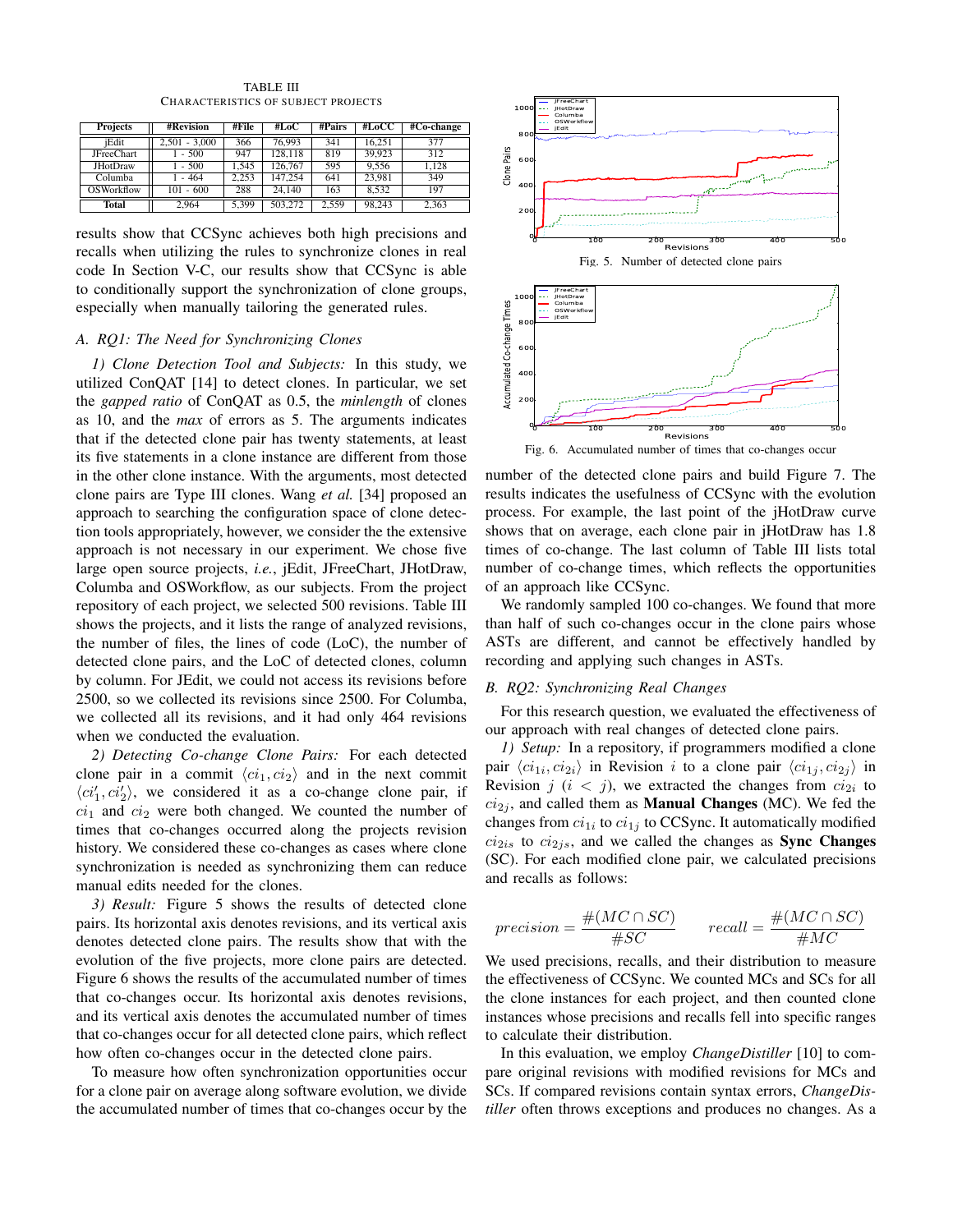| <b>Projects</b>   | #Revision       | #File | #LoC    | #Pairs | #LoCC  | #Co-change |
|-------------------|-----------------|-------|---------|--------|--------|------------|
| iEdit             | $2.501 - 3.000$ | 366   | 76,993  | 341    | 16.251 | 377        |
| <b>JFreeChart</b> | $-500$          | 947   | 128.118 | 819    | 39.923 | 312        |
| <b>JHotDraw</b>   | $-500$          | 1.545 | 126,767 | 595    | 9.556  | 1.128      |
| Columba           | $-464$          | 2.253 | 147.254 | 641    | 23.981 | 349        |
| OSWorkflow        | $101 - 600$     | 288   | 24,140  | 163    | 8.532  | 197        |
| <b>Total</b>      | 2.964           | 5.399 | 503,272 | 2.559  | 98.243 | 2.363      |

TABLE III CHARACTERISTICS OF SUBJECT PROJECTS

results show that CCSync achieves both high precisions and recalls when utilizing the rules to synchronize clones in real code In Section V-C, our results show that CCSync is able to conditionally support the synchronization of clone groups, especially when manually tailoring the generated rules.

#### *A. RQ1: The Need for Synchronizing Clones*

*1) Clone Detection Tool and Subjects:* In this study, we utilized ConQAT [14] to detect clones. In particular, we set the *gapped ratio* of ConQAT as 0.5, the *minlength* of clones as 10, and the *max* of errors as 5. The arguments indicates that if the detected clone pair has twenty statements, at least its five statements in a clone instance are different from those in the other clone instance. With the arguments, most detected clone pairs are Type III clones. Wang *et al.* [34] proposed an approach to searching the configuration space of clone detection tools appropriately, however, we consider the the extensive approach is not necessary in our experiment. We chose five large open source projects, *i.e.*, jEdit, JFreeChart, JHotDraw, Columba and OSWorkflow, as our subjects. From the project repository of each project, we selected 500 revisions. Table III shows the projects, and it lists the range of analyzed revisions, the number of files, the lines of code (LoC), the number of detected clone pairs, and the LoC of detected clones, column by column. For JEdit, we could not access its revisions before 2500, so we collected its revisions since 2500. For Columba, we collected all its revisions, and it had only 464 revisions when we conducted the evaluation.

*2) Detecting Co-change Clone Pairs:* For each detected clone pair in a commit  $\langle ci_1, ci_2 \rangle$  and in the next commit  $\langle ci'_1, ci'_2 \rangle$ , we considered it as a co-change clone pair, if *ci*<sup>1</sup> and *ci*<sup>2</sup> were both changed. We counted the number of times that co-changes occurred along the projects revision history. We considered these co-changes as cases where clone synchronization is needed as synchronizing them can reduce manual edits needed for the clones.

*3) Result:* Figure 5 shows the results of detected clone pairs. Its horizontal axis denotes revisions, and its vertical axis denotes detected clone pairs. The results show that with the evolution of the five projects, more clone pairs are detected. Figure 6 shows the results of the accumulated number of times that co-changes occur. Its horizontal axis denotes revisions, and its vertical axis denotes the accumulated number of times that co-changes occur for all detected clone pairs, which reflect how often co-changes occur in the detected clone pairs.

To measure how often synchronization opportunities occur for a clone pair on average along software evolution, we divide the accumulated number of times that co-changes occur by the



number of the detected clone pairs and build Figure 7. The results indicates the usefulness of CCSync with the evolution process. For example, the last point of the jHotDraw curve shows that on average, each clone pair in jHotDraw has 1.8 times of co-change. The last column of Table III lists total number of co-change times, which reflects the opportunities of an approach like CCSync.

We randomly sampled 100 co-changes. We found that more than half of such co-changes occur in the clone pairs whose ASTs are different, and cannot be effectively handled by recording and applying such changes in ASTs.

#### *B. RQ2: Synchronizing Real Changes*

For this research question, we evaluated the effectiveness of our approach with real changes of detected clone pairs.

*1) Setup:* In a repository, if programmers modified a clone pair  $\langle ci_{1i}, ci_{2i}\rangle$  in Revision *i* to a clone pair  $\langle ci_{1j}, ci_{2j}\rangle$  in Revision  $j$  ( $i < j$ ), we extracted the changes from  $ci_{2i}$  to  $ci<sub>2j</sub>$ , and called them as **Manual Changes** (MC). We fed the changes from  $ci_{1i}$  to  $ci_{1j}$  to CCSync. It automatically modified  $ci<sub>2is</sub>$  to  $ci<sub>2js</sub>$ , and we called the changes as **Sync Changes** (SC). For each modified clone pair, we calculated precisions and recalls as follows:

$$
precision = \frac{\#(MC \cap SC)}{\#SC} \qquad recall = \frac{\#(MC \cap SC)}{\#MC}
$$

We used precisions, recalls, and their distribution to measure the effectiveness of CCSync. We counted MCs and SCs for all the clone instances for each project, and then counted clone instances whose precisions and recalls fell into specific ranges to calculate their distribution.

In this evaluation, we employ *ChangeDistiller* [10] to compare original revisions with modified revisions for MCs and SCs. If compared revisions contain syntax errors, *ChangeDistiller* often throws exceptions and produces no changes. As a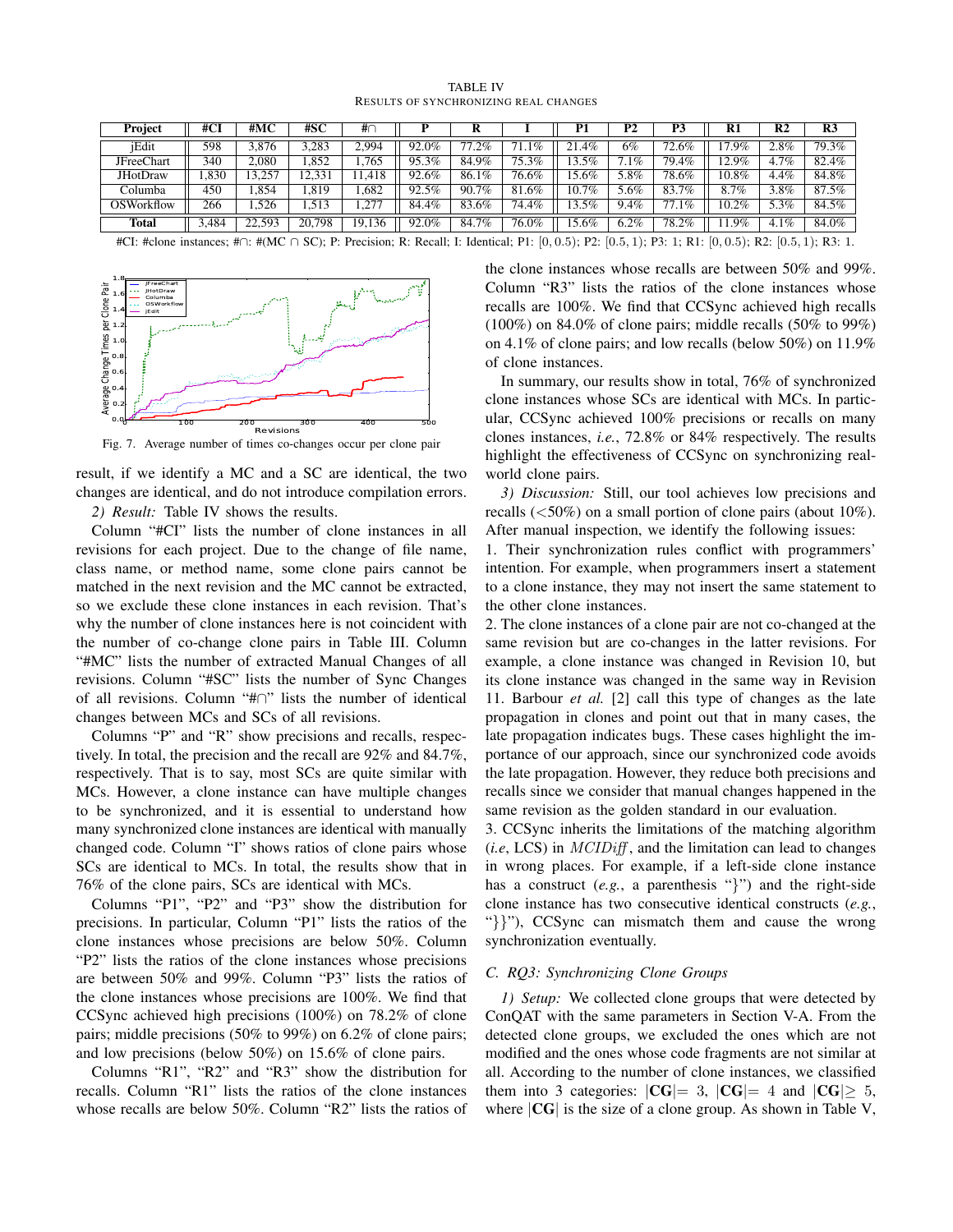TABLE IV RESULTS OF SYNCHRONIZING REAL CHANGES

| Project         | #CI    | #MC    | #SC    | #∩     |       |                        |                     | P1       | P <sub>2</sub> | P3       | R1         | R2      | R <sub>3</sub>      |
|-----------------|--------|--------|--------|--------|-------|------------------------|---------------------|----------|----------------|----------|------------|---------|---------------------|
| iEdit           | 598    | 3.876  | ,283   | 2,994  | 92.0% | די<br>$\overline{2}\%$ | $\overline{1.1}\%$  | $.4\%$   | 6%             | 72.6%    | $.9\%$     | $2.8\%$ | $79.\overline{3\%}$ |
| JFreeChart      | 340    | 2.080  | .852   | 1,765  | 95.3% | 84.9%                  | $75.\overline{3\%}$ | .5%      | 7.1%           | 79.4%    | 12.9%      | 4.7%    | 82.4%               |
| <b>JHotDraw</b> | .830   | 3.257  | 12,331 | .418   | 92.6% | 86.1%                  | $76.6\%$            | 5.6%     | 5.8%           | $78.6\%$ | 10.8%      | 4.4%    | 84.8%               |
| Columba         | 450    | .854   | .819   | .682   | 92.5% | 90.7%                  | 81.6%               | 10.7%    | 5.6%           | 83.7%    | 8.7%       | 3.8%    | 87.5%               |
| OSWorkflow      | 266    | .526   |        | 1,27   | 84.4% | 83.6%                  | $74.\overline{4\%}$ | $.3.5\%$ | $9.4\%$        | 1%       | 2%<br>10.2 | 5.3%    | 84.5%               |
| <b>Total</b>    | 484. د | 22,593 | 20,798 | 19,136 | 92.0% | 84.7%                  | 76.0%               | 5.6%     | 6.2%           | 78.2%    | .9%        | 4.1%    | 84.0%               |

#CI: #clone instances; #*∩*: #(MC *∩* SC); P: Precision; R: Recall; I: Identical; P1: [0*,* 0*.*5); P2: [0*.*5*,* 1); P3: 1; R1: [0*,* 0*.*5); R2: [0*.*5*,* 1); R3: 1.



Fig. 7. Average number of times co-changes occur per clone pair

result, if we identify a MC and a SC are identical, the two changes are identical, and do not introduce compilation errors.

*2) Result:* Table IV shows the results.

Column "#CI" lists the number of clone instances in all revisions for each project. Due to the change of file name, class name, or method name, some clone pairs cannot be matched in the next revision and the MC cannot be extracted, so we exclude these clone instances in each revision. That's why the number of clone instances here is not coincident with the number of co-change clone pairs in Table III. Column "#MC" lists the number of extracted Manual Changes of all revisions. Column "#SC" lists the number of Sync Changes of all revisions. Column "#*∩*" lists the number of identical changes between MCs and SCs of all revisions.

Columns "P" and "R" show precisions and recalls, respectively. In total, the precision and the recall are 92% and 84.7%, respectively. That is to say, most SCs are quite similar with MCs. However, a clone instance can have multiple changes to be synchronized, and it is essential to understand how many synchronized clone instances are identical with manually changed code. Column "I" shows ratios of clone pairs whose SCs are identical to MCs. In total, the results show that in 76% of the clone pairs, SCs are identical with MCs.

Columns "P1", "P2" and "P3" show the distribution for precisions. In particular, Column "P1" lists the ratios of the clone instances whose precisions are below 50%. Column "P2" lists the ratios of the clone instances whose precisions are between 50% and 99%. Column "P3" lists the ratios of the clone instances whose precisions are 100%. We find that CCSync achieved high precisions (100%) on 78.2% of clone pairs; middle precisions (50% to 99%) on 6.2% of clone pairs; and low precisions (below 50%) on 15.6% of clone pairs.

Columns "R1", "R2" and "R3" show the distribution for recalls. Column "R1" lists the ratios of the clone instances whose recalls are below 50%. Column "R2" lists the ratios of the clone instances whose recalls are between 50% and 99%. Column "R3" lists the ratios of the clone instances whose recalls are 100%. We find that CCSync achieved high recalls (100%) on 84.0% of clone pairs; middle recalls (50% to 99%) on 4.1% of clone pairs; and low recalls (below 50%) on 11.9% of clone instances.

In summary, our results show in total, 76% of synchronized clone instances whose SCs are identical with MCs. In particular, CCSync achieved 100% precisions or recalls on many clones instances, *i.e.*, 72.8% or 84% respectively. The results highlight the effectiveness of CCSync on synchronizing realworld clone pairs.

*3) Discussion:* Still, our tool achieves low precisions and recalls (*<*50%) on a small portion of clone pairs (about 10%). After manual inspection, we identify the following issues:

1. Their synchronization rules conflict with programmers' intention. For example, when programmers insert a statement to a clone instance, they may not insert the same statement to the other clone instances.

2. The clone instances of a clone pair are not co-changed at the same revision but are co-changes in the latter revisions. For example, a clone instance was changed in Revision 10, but its clone instance was changed in the same way in Revision 11. Barbour *et al.* [2] call this type of changes as the late propagation in clones and point out that in many cases, the late propagation indicates bugs. These cases highlight the importance of our approach, since our synchronized code avoids the late propagation. However, they reduce both precisions and recalls since we consider that manual changes happened in the same revision as the golden standard in our evaluation.

3. CCSync inherits the limitations of the matching algorithm (*i.e*, LCS) in *MCIDiff* , and the limitation can lead to changes in wrong places. For example, if a left-side clone instance has a construct (*e.g.*, a parenthesis "*}*") and the right-side clone instance has two consecutive identical constructs (*e.g.*, "*}}*"), CCSync can mismatch them and cause the wrong synchronization eventually.

## *C. RQ3: Synchronizing Clone Groups*

*1) Setup:* We collected clone groups that were detected by ConQAT with the same parameters in Section V-A. From the detected clone groups, we excluded the ones which are not modified and the ones whose code fragments are not similar at all. According to the number of clone instances, we classified them into 3 categories:  $|CG|= 3$ ,  $|CG|= 4$  and  $|CG| \geq 5$ , where *|*CG*|* is the size of a clone group. As shown in Table V,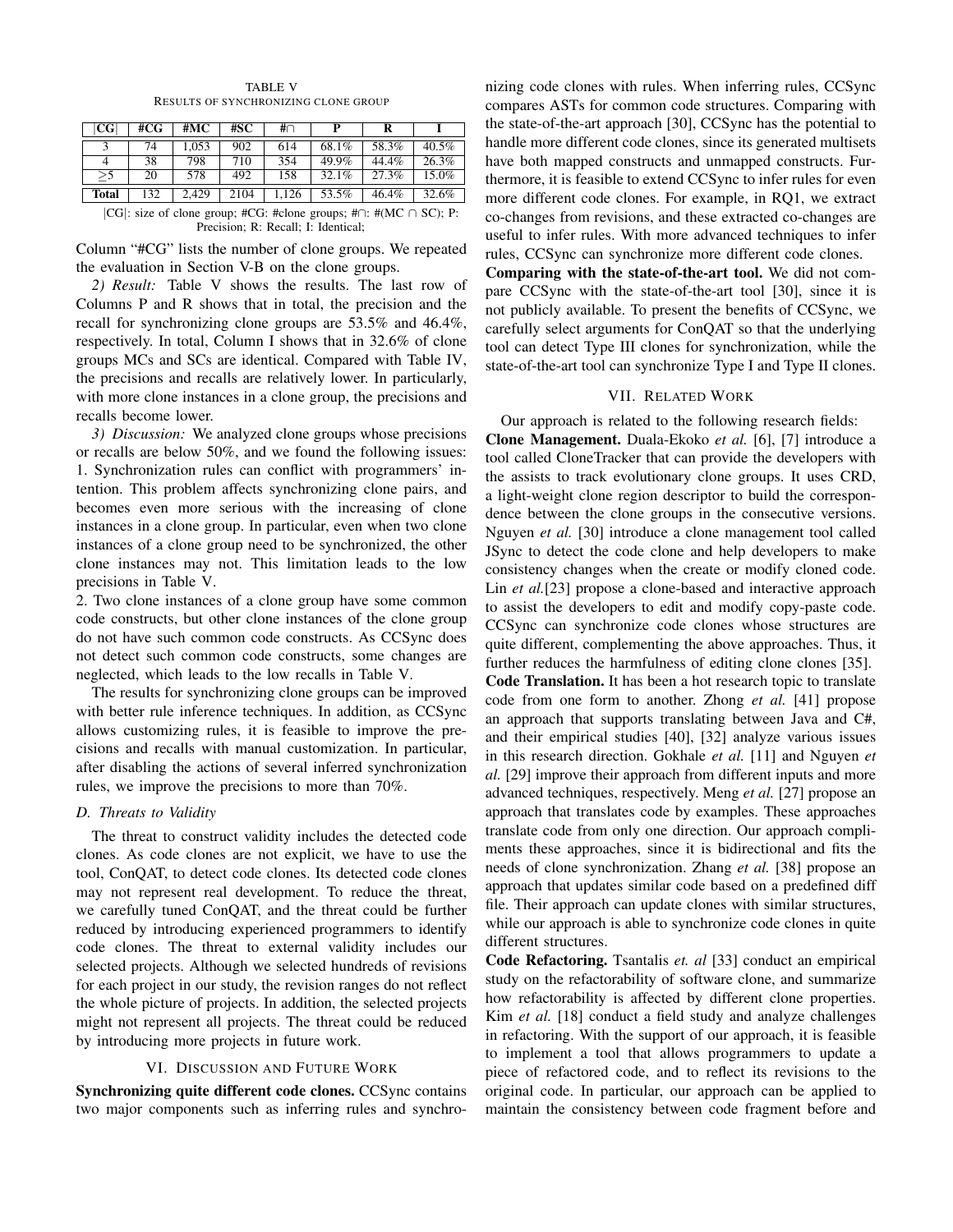| CG           | #CG | #MC   | #SC  | #∩    |       |       |       |
|--------------|-----|-------|------|-------|-------|-------|-------|
|              | 74  | 1.053 | 902  | 614   | 68.1% | 58.3% | 40.5% |
| 4            | 38  | 798   | 710  | 354   | 49.9% | 44.4% | 26.3% |
| $>$ 5        | 20  | 578   | 492  | 158   | 32.1% | 27.3% | 15.0% |
| <b>Total</b> | 132 | 2,429 | 2104 | 1.126 | 53.5% | 46.4% | 32.6% |

TABLE V RESULTS OF SYNCHRONIZING CLONE GROUP

*|*CG*|*: size of clone group; #CG: #clone groups; #*∩*: #(MC *∩* SC); P: Precision; R: Recall; I: Identical;

Column "#CG" lists the number of clone groups. We repeated the evaluation in Section V-B on the clone groups.

*2) Result:* Table V shows the results. The last row of Columns P and R shows that in total, the precision and the recall for synchronizing clone groups are 53.5% and 46.4%, respectively. In total, Column I shows that in 32.6% of clone groups MCs and SCs are identical. Compared with Table IV, the precisions and recalls are relatively lower. In particularly, with more clone instances in a clone group, the precisions and recalls become lower.

*3) Discussion:* We analyzed clone groups whose precisions or recalls are below 50%, and we found the following issues: 1. Synchronization rules can conflict with programmers' intention. This problem affects synchronizing clone pairs, and becomes even more serious with the increasing of clone instances in a clone group. In particular, even when two clone instances of a clone group need to be synchronized, the other clone instances may not. This limitation leads to the low precisions in Table V.

2. Two clone instances of a clone group have some common code constructs, but other clone instances of the clone group do not have such common code constructs. As CCSync does not detect such common code constructs, some changes are neglected, which leads to the low recalls in Table V.

The results for synchronizing clone groups can be improved with better rule inference techniques. In addition, as CCSync allows customizing rules, it is feasible to improve the precisions and recalls with manual customization. In particular, after disabling the actions of several inferred synchronization rules, we improve the precisions to more than 70%.

#### *D. Threats to Validity*

The threat to construct validity includes the detected code clones. As code clones are not explicit, we have to use the tool, ConQAT, to detect code clones. Its detected code clones may not represent real development. To reduce the threat, we carefully tuned ConQAT, and the threat could be further reduced by introducing experienced programmers to identify code clones. The threat to external validity includes our selected projects. Although we selected hundreds of revisions for each project in our study, the revision ranges do not reflect the whole picture of projects. In addition, the selected projects might not represent all projects. The threat could be reduced by introducing more projects in future work.

#### VI. DISCUSSION AND FUTURE WORK

Synchronizing quite different code clones. CCSync contains two major components such as inferring rules and synchronizing code clones with rules. When inferring rules, CCSync compares ASTs for common code structures. Comparing with the state-of-the-art approach [30], CCSync has the potential to handle more different code clones, since its generated multisets have both mapped constructs and unmapped constructs. Furthermore, it is feasible to extend CCSync to infer rules for even more different code clones. For example, in RQ1, we extract co-changes from revisions, and these extracted co-changes are useful to infer rules. With more advanced techniques to infer rules, CCSync can synchronize more different code clones.

Comparing with the state-of-the-art tool. We did not compare CCSync with the state-of-the-art tool [30], since it is not publicly available. To present the benefits of CCSync, we carefully select arguments for ConQAT so that the underlying tool can detect Type III clones for synchronization, while the state-of-the-art tool can synchronize Type I and Type II clones.

## VII. RELATED WORK

Our approach is related to the following research fields: Clone Management. Duala-Ekoko *et al.* [6], [7] introduce a tool called CloneTracker that can provide the developers with the assists to track evolutionary clone groups. It uses CRD, a light-weight clone region descriptor to build the correspondence between the clone groups in the consecutive versions. Nguyen *et al.* [30] introduce a clone management tool called JSync to detect the code clone and help developers to make consistency changes when the create or modify cloned code. Lin *et al.*[23] propose a clone-based and interactive approach to assist the developers to edit and modify copy-paste code. CCSync can synchronize code clones whose structures are quite different, complementing the above approaches. Thus, it further reduces the harmfulness of editing clone clones [35]. Code Translation. It has been a hot research topic to translate code from one form to another. Zhong *et al.* [41] propose an approach that supports translating between Java and C#, and their empirical studies [40], [32] analyze various issues in this research direction. Gokhale *et al.* [11] and Nguyen *et al.* [29] improve their approach from different inputs and more advanced techniques, respectively. Meng *et al.* [27] propose an approach that translates code by examples. These approaches translate code from only one direction. Our approach compliments these approaches, since it is bidirectional and fits the needs of clone synchronization. Zhang *et al.* [38] propose an approach that updates similar code based on a predefined diff file. Their approach can update clones with similar structures, while our approach is able to synchronize code clones in quite different structures.

Code Refactoring. Tsantalis *et. al* [33] conduct an empirical study on the refactorability of software clone, and summarize how refactorability is affected by different clone properties. Kim *et al.* [18] conduct a field study and analyze challenges in refactoring. With the support of our approach, it is feasible to implement a tool that allows programmers to update a piece of refactored code, and to reflect its revisions to the original code. In particular, our approach can be applied to maintain the consistency between code fragment before and